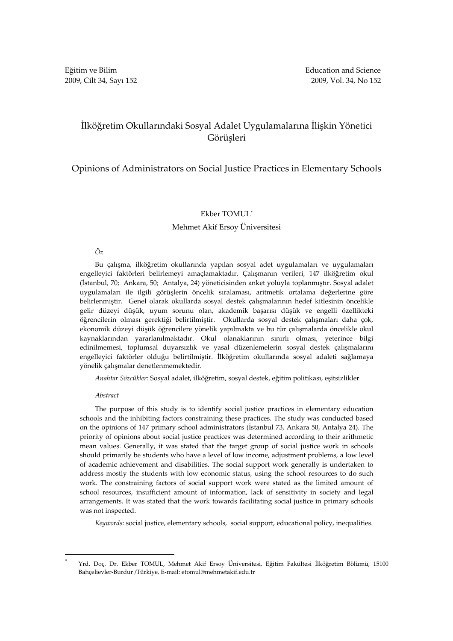# İlköğretim Okullarındaki Sosyal Adalet Uygulamalarına İlişkin Yönetici Görüşleri

## Opinions of Administrators on Social Justice Practices in Elementary Schools

### Ekber TOMUL\*

### Mehmet Akif Ersoy Üniversitesi

### Öz

Bu çalışma, ilköğretim okullarında yapılan sosyal adet uygulamaları ve uygulamaları engelleyici faktörleri belirlemeyi amaçlamaktadır. Çalışmanın verileri, 147 ilköğretim okul (İstanbul, 70; Ankara, 50; Antalya, 24) yöneticisinden anket yoluyla toplanmıştır. Sosyal adalet uygulamaları ile ilgili görüşlerin öncelik sıralaması, aritmetik ortalama değerlerine göre belirlenmiştir. Genel olarak okullarda sosyal destek çalışmalarının hedef kitlesinin öncelikle gelir düzeyi düşük, uyum sorunu olan, akademik başarısı düşük ve engelli özellikteki öğrencilerin olması gerektiği belirtilmiştir. Okullarda sosyal destek çalışmaları daha çok, ekonomik düzeyi düşük öğrencilere yönelik yapılmakta ve bu tür çalışmalarda öncelikle okul kaynaklarından yararlanılmaktadır. Okul olanaklarının sınırlı olması, yeterince bilgi edinilmemesi, toplumsal duyarsızlık ve yasal düzenlemelerin sosyal destek çalışmalarını engelleyici faktörler olduğu belirtilmiştir. İlköğretim okullarında sosyal adaleti sağlamaya yönelik çalışmalar denetlenmemektedir.

Anahtar Sözcükler: Sosyal adalet, ilköğretim, sosyal destek, eğitim politikası, eşitsizlikler

#### Abstract

 $\overline{a}$ 

The purpose of this study is to identify social justice practices in elementary education schools and the inhibiting factors constraining these practices. The study was conducted based on the opinions of 147 primary school administrators (İstanbul 73, Ankara 50, Antalya 24). The priority of opinions about social justice practices was determined according to their arithmetic mean values. Generally, it was stated that the target group of social justice work in schools should primarily be students who have a level of low income, adjustment problems, a low level of academic achievement and disabilities. The social support work generally is undertaken to address mostly the students with low economic status, using the school resources to do such work. The constraining factors of social support work were stated as the limited amount of school resources, insufficient amount of information, lack of sensitivity in society and legal arrangements. It was stated that the work towards facilitating social justice in primary schools was not inspected.

Keywords: social justice, elementary schools, social support, educational policy, inequalities.

<sup>\*</sup> Yrd. Doç. Dr. Ekber TOMUL, Mehmet Akif Ersoy Üniversitesi, Eğitim Fakültesi İlköğretim Bölümü, 15100 Bahçelievler-Burdur /Türkiye, E-mail: etomul@mehmetakif.edu.tr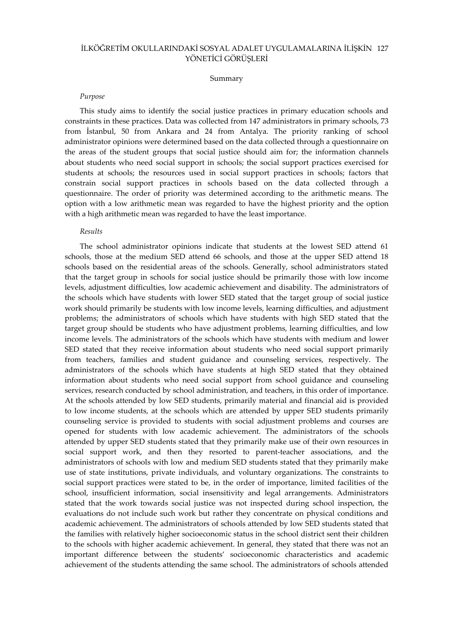### İLKÖĞRETİM OKULLARINDAKİ SOSYAL ADALET UYGULAMALARINA İLİŞKİN 127 YÖNETİCİ GÖRÜŞLERİ

#### Summary

#### Purpose

This study aims to identify the social justice practices in primary education schools and constraints in these practices. Data was collected from 147 administrators in primary schools, 73 from İstanbul, 50 from Ankara and 24 from Antalya. The priority ranking of school administrator opinions were determined based on the data collected through a questionnaire on the areas of the student groups that social justice should aim for; the information channels about students who need social support in schools; the social support practices exercised for students at schools; the resources used in social support practices in schools; factors that constrain social support practices in schools based on the data collected through a questionnaire. The order of priority was determined according to the arithmetic means. The option with a low arithmetic mean was regarded to have the highest priority and the option with a high arithmetic mean was regarded to have the least importance.

### Results

The school administrator opinions indicate that students at the lowest SED attend 61 schools, those at the medium SED attend 66 schools, and those at the upper SED attend 18 schools based on the residential areas of the schools. Generally, school administrators stated that the target group in schools for social justice should be primarily those with low income levels, adjustment difficulties, low academic achievement and disability. The administrators of the schools which have students with lower SED stated that the target group of social justice work should primarily be students with low income levels, learning difficulties, and adjustment problems; the administrators of schools which have students with high SED stated that the target group should be students who have adjustment problems, learning difficulties, and low income levels. The administrators of the schools which have students with medium and lower SED stated that they receive information about students who need social support primarily from teachers, families and student guidance and counseling services, respectively. The administrators of the schools which have students at high SED stated that they obtained information about students who need social support from school guidance and counseling services, research conducted by school administration, and teachers, in this order of importance. At the schools attended by low SED students, primarily material and financial aid is provided to low income students, at the schools which are attended by upper SED students primarily counseling service is provided to students with social adjustment problems and courses are opened for students with low academic achievement. The administrators of the schools attended by upper SED students stated that they primarily make use of their own resources in social support work, and then they resorted to parent-teacher associations, and the administrators of schools with low and medium SED students stated that they primarily make use of state institutions, private individuals, and voluntary organizations. The constraints to social support practices were stated to be, in the order of importance, limited facilities of the school, insufficient information, social insensitivity and legal arrangements. Administrators stated that the work towards social justice was not inspected during school inspection, the evaluations do not include such work but rather they concentrate on physical conditions and academic achievement. The administrators of schools attended by low SED students stated that the families with relatively higher socioeconomic status in the school district sent their children to the schools with higher academic achievement. In general, they stated that there was not an important difference between the students' socioeconomic characteristics and academic achievement of the students attending the same school. The administrators of schools attended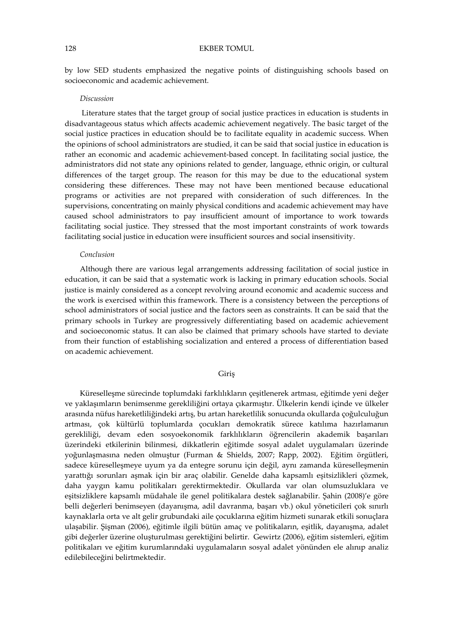by low SED students emphasized the negative points of distinguishing schools based on socioeconomic and academic achievement.

#### Discussion

 Literature states that the target group of social justice practices in education is students in disadvantageous status which affects academic achievement negatively. The basic target of the social justice practices in education should be to facilitate equality in academic success. When the opinions of school administrators are studied, it can be said that social justice in education is rather an economic and academic achievement-based concept. In facilitating social justice, the administrators did not state any opinions related to gender, language, ethnic origin, or cultural differences of the target group. The reason for this may be due to the educational system considering these differences. These may not have been mentioned because educational programs or activities are not prepared with consideration of such differences. In the supervisions, concentrating on mainly physical conditions and academic achievement may have caused school administrators to pay insufficient amount of importance to work towards facilitating social justice. They stressed that the most important constraints of work towards facilitating social justice in education were insufficient sources and social insensitivity.

### Conclusion

Although there are various legal arrangements addressing facilitation of social justice in education, it can be said that a systematic work is lacking in primary education schools. Social justice is mainly considered as a concept revolving around economic and academic success and the work is exercised within this framework. There is a consistency between the perceptions of school administrators of social justice and the factors seen as constraints. It can be said that the primary schools in Turkey are progressively differentiating based on academic achievement and socioeconomic status. It can also be claimed that primary schools have started to deviate from their function of establishing socialization and entered a process of differentiation based on academic achievement.

#### Giriş

Küreselleşme sürecinde toplumdaki farklılıkların çeşitlenerek artması, eğitimde yeni değer ve yaklaşımların benimsenme gerekliliğini ortaya çıkarmıştır. Ülkelerin kendi içinde ve ülkeler arasında nüfus hareketliliğindeki artış, bu artan hareketlilik sonucunda okullarda çoğulculuğun artması, çok kültürlü toplumlarda çocukları demokratik sürece katılıma hazırlamanın gerekliliği, devam eden sosyoekonomik farklılıkların öğrencilerin akademik başarıları üzerindeki etkilerinin bilinmesi, dikkatlerin eğitimde sosyal adalet uygulamaları üzerinde yoğunlaşmasına neden olmuştur (Furman & Shields, 2007; Rapp, 2002). Eğitim örgütleri, sadece küreselleşmeye uyum ya da entegre sorunu için değil, aynı zamanda küreselleşmenin yarattığı sorunları aşmak için bir araç olabilir. Genelde daha kapsamlı eşitsizlikleri çözmek, daha yaygın kamu politikaları gerektirmektedir. Okullarda var olan olumsuzluklara ve eşitsizliklere kapsamlı müdahale ile genel politikalara destek sağlanabilir. Şahin (2008)'e göre belli değerleri benimseyen (dayanışma, adil davranma, başarı vb.) okul yöneticileri çok sınırlı kaynaklarla orta ve alt gelir grubundaki aile çocuklarına eğitim hizmeti sunarak etkili sonuçlara ulaşabilir. Şişman (2006), eğitimle ilgili bütün amaç ve politikaların, eşitlik, dayanışma, adalet gibi değerler üzerine oluşturulması gerektiğini belirtir. Gewirtz (2006), eğitim sistemleri, eğitim politikaları ve eğitim kurumlarındaki uygulamaların sosyal adalet yönünden ele alınıp analiz edilebileceğini belirtmektedir.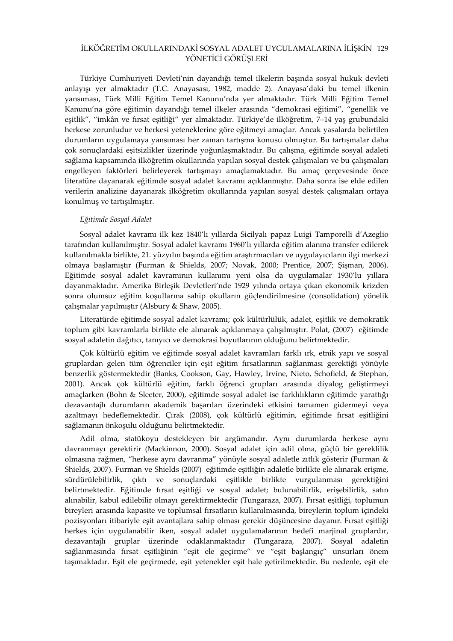### İLKÖĞRETİM OKULLARINDAKİ SOSYAL ADALET UYGULAMALARINA İLİŞKİN 129 YÖNETİCİ GÖRÜŞLERİ

Türkiye Cumhuriyeti Devleti'nin dayandığı temel ilkelerin başında sosyal hukuk devleti anlayışı yer almaktadır (T.C. Anayasası, 1982, madde 2). Anayasa'daki bu temel ilkenin yansıması, Türk Milli Eğitim Temel Kanunu'nda yer almaktadır. Türk Milli Eğitim Temel Kanunu'na göre eğitimin dayandığı temel ilkeler arasında "demokrasi eğitimi", "genellik ve eşitlik", "imkân ve fırsat eşitliği" yer almaktadır. Türkiye'de ilköğretim, 7–14 yaş grubundaki herkese zorunludur ve herkesi yeteneklerine göre eğitmeyi amaçlar. Ancak yasalarda belirtilen durumların uygulamaya yansıması her zaman tartışma konusu olmuştur. Bu tartışmalar daha çok sonuçlardaki eşitsizlikler üzerinde yoğunlaşmaktadır. Bu çalışma, eğitimde sosyal adaleti sağlama kapsamında ilköğretim okullarında yapılan sosyal destek çalışmaları ve bu çalışmaları engelleyen faktörleri belirleyerek tartışmayı amaçlamaktadır. Bu amaç çerçevesinde önce literatüre dayanarak eğitimde sosyal adalet kavramı açıklanmıştır. Daha sonra ise elde edilen verilerin analizine dayanarak ilköğretim okullarında yapılan sosyal destek çalışmaları ortaya konulmuş ve tartışılmıştır.

#### Eğitimde Sosyal Adalet

Sosyal adalet kavramı ilk kez 1840'lı yıllarda Sicilyalı papaz Luigi Tamporelli d'Azeglio tarafından kullanılmıştır. Sosyal adalet kavramı 1960'lı yıllarda eğitim alanına transfer edilerek kullanılmakla birlikte, 21. yüzyılın başında eğitim araştırmacıları ve uygulayıcıların ilgi merkezi olmaya başlamıştır (Furman & Shields, 2007; Novak, 2000; Prentice, 2007; Şişman, 2006). Eğitimde sosyal adalet kavramının kullanımı yeni olsa da uygulamalar 1930'lu yıllara dayanmaktadır. Amerika Birleşik Devletleri'nde 1929 yılında ortaya çıkan ekonomik krizden sonra olumsuz eğitim koşullarına sahip okulların güçlendirilmesine (consolidation) yönelik çalışmalar yapılmıştır (Alsbury & Shaw, 2005).

Literatürde eğitimde sosyal adalet kavramı; çok kültürlülük, adalet, eşitlik ve demokratik toplum gibi kavramlarla birlikte ele alınarak açıklanmaya çalışılmıştır. Polat, (2007) eğitimde sosyal adaletin dağıtıcı, tanıyıcı ve demokrasi boyutlarının olduğunu belirtmektedir.

Çok kültürlü eğitim ve eğitimde sosyal adalet kavramları farklı ırk, etnik yapı ve sosyal gruplardan gelen tüm öğrenciler için eşit eğitim fırsatlarının sağlanması gerektiği yönüyle benzerlik göstermektedir (Banks, Cookson, Gay, Hawley, Irvine, Nieto, Schofield, & Stephan, 2001). Ancak çok kültürlü eğitim, farklı öğrenci grupları arasında diyalog geliştirmeyi amaçlarken (Bohn & Sleeter, 2000), eğitimde sosyal adalet ise farklılıkların eğitimde yarattığı dezavantajlı durumların akademik başarıları üzerindeki etkisini tamamen gidermeyi veya azaltmayı hedeflemektedir. Çırak (2008), çok kültürlü eğitimin, eğitimde fırsat eşitliğini sağlamanın önkoşulu olduğunu belirtmektedir.

Adil olma, statükoyu destekleyen bir argümandır. Aynı durumlarda herkese aynı davranmayı gerektirir (Mackinnon, 2000). Sosyal adalet için adil olma, güçlü bir gereklilik olmasına rağmen, "herkese aynı davranma" yönüyle sosyal adaletle zıtlık gösterir (Furman & Shields, 2007). Furman ve Shields (2007) eğitimde eşitliğin adaletle birlikte ele alınarak erişme, sürdürülebilirlik, çıktı ve sonuçlardaki eşitlikle birlikte vurgulanması gerektiğini belirtmektedir. Eğitimde fırsat eşitliği ve sosyal adalet; bulunabilirlik, erişebilirlik, satın alınabilir, kabul edilebilir olmayı gerektirmektedir (Tungaraza, 2007). Fırsat eşitliği, toplumun bireyleri arasında kapasite ve toplumsal fırsatların kullanılmasında, bireylerin toplum içindeki pozisyonları itibariyle eşit avantajlara sahip olması gerekir düşüncesine dayanır. Fırsat eşitliği herkes için uygulanabilir iken, sosyal adalet uygulamalarının hedefi marjinal gruplardır, dezavantajlı gruplar üzerinde odaklanmaktadır (Tungaraza, 2007). Sosyal adaletin sağlanmasında fırsat eşitliğinin "eşit ele geçirme" ve "eşit başlangıç" unsurları önem taşımaktadır. Eşit ele geçirmede, eşit yetenekler eşit hale getirilmektedir. Bu nedenle, eşit ele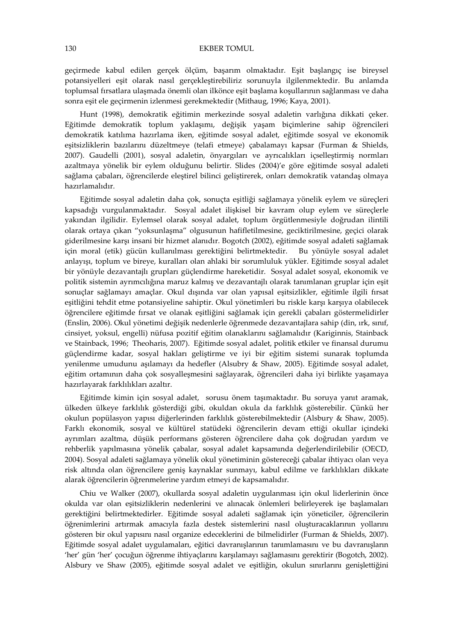geçirmede kabul edilen gerçek ölçüm, başarım olmaktadır. Eşit başlangıç ise bireysel potansiyelleri eşit olarak nasıl gerçekleştirebiliriz sorunuyla ilgilenmektedir. Bu anlamda toplumsal fırsatlara ulaşmada önemli olan ilkönce eşit başlama koşullarının sağlanması ve daha sonra eşit ele geçirmenin izlenmesi gerekmektedir (Mithaug, 1996; Kaya, 2001).

Hunt (1998), demokratik eğitimin merkezinde sosyal adaletin varlığına dikkati çeker. Eğitimde demokratik toplum yaklaşımı, değişik yaşam biçimlerine sahip öğrencileri demokratik katılıma hazırlama iken, eğitimde sosyal adalet, eğitimde sosyal ve ekonomik eşitsizliklerin bazılarını düzeltmeye (telafi etmeye) çabalamayı kapsar (Furman & Shields, 2007). Gaudelli (2001), sosyal adaletin, önyargıları ve ayrıcalıkları içselleştirmiş normları azaltmaya yönelik bir eylem olduğunu belirtir. Slides (2004)'e göre eğitimde sosyal adaleti sağlama çabaları, öğrencilerde eleştirel bilinci geliştirerek, onları demokratik vatandaş olmaya hazırlamalıdır.

Eğitimde sosyal adaletin daha çok, sonuçta eşitliği sağlamaya yönelik eylem ve süreçleri kapsadığı vurgulanmaktadır. Sosyal adalet ilişkisel bir kavram olup eylem ve süreçlerle yakından ilgilidir. Eylemsel olarak sosyal adalet, toplum örgütlenmesiyle doğrudan ilintili olarak ortaya çıkan "yoksunlaşma" olgusunun hafifletilmesine, geciktirilmesine, geçici olarak giderilmesine karşı insani bir hizmet alanıdır. Bogotch (2002), eğitimde sosyal adaleti sağlamak için moral (etik) gücün kullanılması gerektiğini belirtmektedir. Bu yönüyle sosyal adalet anlayışı, toplum ve bireye, kuralları olan ahlaki bir sorumluluk yükler. Eğitimde sosyal adalet bir yönüyle dezavantajlı grupları güçlendirme hareketidir. Sosyal adalet sosyal, ekonomik ve politik sistemin ayrımcılığına maruz kalmış ve dezavantajlı olarak tanımlanan gruplar için eşit sonuçlar sağlamayı amaçlar. Okul dışında var olan yapısal eşitsizlikler, eğitimle ilgili fırsat eşitliğini tehdit etme potansiyeline sahiptir. Okul yönetimleri bu riskle karşı karşıya olabilecek öğrencilere eğitimde fırsat ve olanak eşitliğini sağlamak için gerekli çabaları göstermelidirler (Enslin, 2006). Okul yönetimi değişik nedenlerle öğrenmede dezavantajlara sahip (din, ırk, sınıf, cinsiyet, yoksul, engelli) nüfusa pozitif eğitim olanaklarını sağlamalıdır (Kariginnis, Stainback ve Stainback, 1996; Theoharis, 2007). Eğitimde sosyal adalet, politik etkiler ve finansal durumu güçlendirme kadar, sosyal hakları geliştirme ve iyi bir eğitim sistemi sunarak toplumda yenilenme umudunu aşılamayı da hedefler (Alsubry & Shaw, 2005). Eğitimde sosyal adalet, eğitim ortamının daha çok sosyalleşmesini sağlayarak, öğrencileri daha iyi birlikte yaşamaya hazırlayarak farklılıkları azaltır.

Eğitimde kimin için sosyal adalet, sorusu önem taşımaktadır. Bu soruya yanıt aramak, ülkeden ülkeye farklılık gösterdiği gibi, okuldan okula da farklılık gösterebilir. Çünkü her okulun popülasyon yapısı diğerlerinden farklılık gösterebilmektedir (Alsbury & Shaw, 2005). Farklı ekonomik, sosyal ve kültürel statüdeki öğrencilerin devam ettiği okullar içindeki ayrımları azaltma, düşük performans gösteren öğrencilere daha çok doğrudan yardım ve rehberlik yapılmasına yönelik çabalar, sosyal adalet kapsamında değerlendirilebilir (OECD, 2004). Sosyal adaleti sağlamaya yönelik okul yönetiminin göstereceği çabalar ihtiyacı olan veya risk altında olan öğrencilere geniş kaynaklar sunmayı, kabul edilme ve farklılıkları dikkate alarak öğrencilerin öğrenmelerine yardım etmeyi de kapsamalıdır.

Chiu ve Walker (2007), okullarda sosyal adaletin uygulanması için okul liderlerinin önce okulda var olan eşitsizliklerin nedenlerini ve alınacak önlemleri belirleyerek işe başlamaları gerektiğini belirtmektedirler. Eğitimde sosyal adaleti sağlamak için yöneticiler, öğrencilerin öğrenimlerini artırmak amacıyla fazla destek sistemlerini nasıl oluşturacaklarının yollarını gösteren bir okul yapısını nasıl organize edeceklerini de bilmelidirler (Furman & Shields, 2007). Eğitimde sosyal adalet uygulamaları, eğitici davranışlarının tanımlamasını ve bu davranışların 'her' gün 'her' çocuğun öğrenme ihtiyaçlarını karşılamayı sağlamasını gerektirir (Bogotch, 2002). Alsbury ve Shaw (2005), eğitimde sosyal adalet ve eşitliğin, okulun sınırlarını genişlettiğini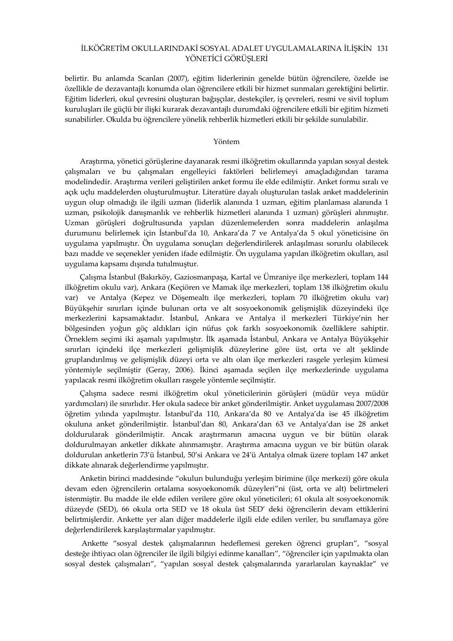### İLKÖĞRETİM OKULLARINDAKİ SOSYAL ADALET UYGULAMALARINA İLİŞKİN 131 YÖNETİCİ GÖRÜŞLERİ

belirtir. Bu anlamda Scanlan (2007), eğitim liderlerinin genelde bütün öğrencilere, özelde ise özellikle de dezavantajlı konumda olan öğrencilere etkili bir hizmet sunmaları gerektiğini belirtir. Eğitim liderleri, okul çevresini oluşturan bağışçılar, destekçiler, iş çevreleri, resmi ve sivil toplum kuruluşları ile güçlü bir ilişki kurarak dezavantajlı durumdaki öğrencilere etkili bir eğitim hizmeti sunabilirler. Okulda bu öğrencilere yönelik rehberlik hizmetleri etkili bir şekilde sunulabilir.

### Yöntem

Araştırma, yönetici görüşlerine dayanarak resmi ilköğretim okullarında yapılan sosyal destek çalışmaları ve bu çalışmaları engelleyici faktörleri belirlemeyi amaçladığından tarama modelindedir. Araştırma verileri geliştirilen anket formu ile elde edilmiştir. Anket formu sıralı ve açık uçlu maddelerden oluşturulmuştur. Literatüre dayalı oluşturulan taslak anket maddelerinin uygun olup olmadığı ile ilgili uzman (liderlik alanında 1 uzman, eğitim planlaması alanında 1 uzman, psikolojik danışmanlık ve rehberlik hizmetleri alanında 1 uzman) görüşleri alınmıştır. Uzman görüşleri doğrultusunda yapılan düzenlemelerden sonra maddelerin anlaşılma durumunu belirlemek için İstanbul'da 10, Ankara'da 7 ve Antalya'da 5 okul yöneticisine ön uygulama yapılmıştır. Ön uygulama sonuçları değerlendirilerek anlaşılması sorunlu olabilecek bazı madde ve seçenekler yeniden ifade edilmiştir. Ön uygulama yapılan ilköğretim okulları, asıl uygulama kapsamı dışında tutulmuştur.

Çalışma İstanbul (Bakırköy, Gaziosmanpaşa, Kartal ve Ümraniye ilçe merkezleri, toplam 144 ilköğretim okulu var), Ankara (Keçiören ve Mamak ilçe merkezleri, toplam 138 ilköğretim okulu var) ve Antalya (Kepez ve Döşemealtı ilçe merkezleri, toplam 70 ilköğretim okulu var) Büyükşehir sınırları içinde bulunan orta ve alt sosyoekonomik gelişmişlik düzeyindeki ilçe merkezlerini kapsamaktadır. İstanbul, Ankara ve Antalya il merkezleri Türkiye'nin her bölgesinden yoğun göç aldıkları için nüfus çok farklı sosyoekonomik özelliklere sahiptir. Örneklem seçimi iki aşamalı yapılmıştır. İlk aşamada İstanbul, Ankara ve Antalya Büyükşehir sınırları içindeki ilçe merkezleri gelişmişlik düzeylerine göre üst, orta ve alt şeklinde gruplandırılmış ve gelişmişlik düzeyi orta ve altı olan ilçe merkezleri rasgele yerleşim kümesi yöntemiyle seçilmiştir (Geray, 2006). İkinci aşamada seçilen ilçe merkezlerinde uygulama yapılacak resmi ilköğretim okulları rasgele yöntemle seçilmiştir.

Çalışma sadece resmi ilköğretim okul yöneticilerinin görüşleri (müdür veya müdür yardımcıları) ile sınırlıdır. Her okula sadece bir anket gönderilmiştir. Anket uygulaması 2007/2008 öğretim yılında yapılmıştır. İstanbul'da 110, Ankara'da 80 ve Antalya'da ise 45 ilköğretim okuluna anket gönderilmiştir. İstanbul'dan 80, Ankara'dan 63 ve Antalya'dan ise 28 anket doldurularak gönderilmiştir. Ancak araştırmanın amacına uygun ve bir bütün olarak doldurulmayan anketler dikkate alınmamıştır. Araştırma amacına uygun ve bir bütün olarak doldurulan anketlerin 73'ü İstanbul, 50'si Ankara ve 24'ü Antalya olmak üzere toplam 147 anket dikkate alınarak değerlendirme yapılmıştır.

Anketin birinci maddesinde "okulun bulunduğu yerleşim birimine (ilçe merkezi) göre okula devam eden öğrencilerin ortalama sosyoekonomik düzeyleri"ni (üst, orta ve alt) belirtmeleri istenmiştir. Bu madde ile elde edilen verilere göre okul yöneticileri; 61 okula alt sosyoekonomik düzeyde (SED), 66 okula orta SED ve 18 okula üst SED' deki öğrencilerin devam ettiklerini belirtmişlerdir. Ankette yer alan diğer maddelerle ilgili elde edilen veriler, bu sınıflamaya göre değerlendirilerek karşılaştırmalar yapılmıştır.

Ankette "sosyal destek çalışmalarının hedeflemesi gereken öğrenci grupları", "sosyal desteğe ihtiyacı olan öğrenciler ile ilgili bilgiyi edinme kanalları", "öğrenciler için yapılmakta olan sosyal destek çalışmaları", "yapılan sosyal destek çalışmalarında yararlanılan kaynaklar" ve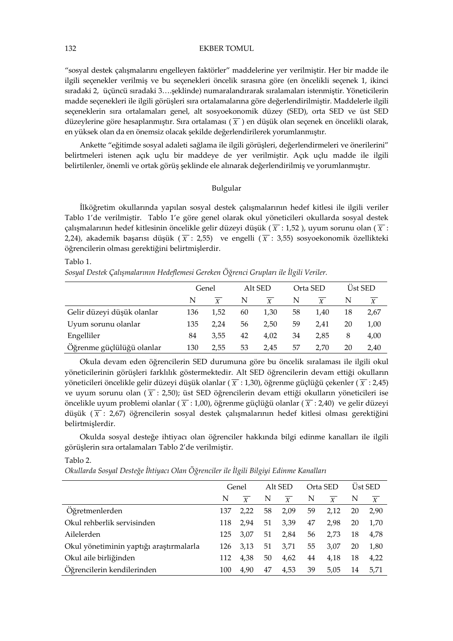"sosyal destek çalışmalarını engelleyen faktörler" maddelerine yer verilmiştir. Her bir madde ile ilgili seçenekler verilmiş ve bu seçenekleri öncelik sırasına göre (en öncelikli seçenek 1, ikinci sıradaki 2, üçüncü sıradaki 3….şeklinde) numaralandırarak sıralamaları istenmiştir. Yöneticilerin madde seçenekleri ile ilgili görüşleri sıra ortalamalarına göre değerlendirilmiştir. Maddelerle ilgili seçeneklerin sıra ortalamaları genel, alt sosyoekonomik düzey (SED), orta SED ve üst SED düzeylerine göre hesaplanmıştır. Sıra ortalaması ( *X* ) en düşük olan seçenek en öncelikli olarak, en yüksek olan da en önemsiz olacak şekilde değerlendirilerek yorumlanmıştır.

Ankette "eğitimde sosyal adaleti sağlama ile ilgili görüşleri, değerlendirmeleri ve önerilerini" belirtmeleri istenen açık uçlu bir maddeye de yer verilmiştir. Açık uçlu madde ile ilgili belirtilenler, önemli ve ortak görüş şeklinde ele alınarak değerlendirilmiş ve yorumlanmıştır.

### Bulgular

İlköğretim okullarında yapılan sosyal destek çalışmalarının hedef kitlesi ile ilgili veriler Tablo 1'de verilmiştir. Tablo 1'e göre genel olarak okul yöneticileri okullarda sosyal destek çalışmalarının hedef kitlesinin öncelikle gelir düzeyi düşük ( *X* : 1,52 ), uyum sorunu olan ( *X* : 2,24), akademik başarısı düşük ( $\overline{X}$ : 2,55) ve engelli ( $\overline{X}$ : 3,55) sosyoekonomik özellikteki öğrencilerin olması gerektiğini belirtmişlerdir.

Tablo 1.

Sosyal Destek Çalışmalarının Hedeflemesi Gereken Öğrenci Grupları ile İlgili Veriler.

|                            | Genel |      |    | Alt SED |    | Orta SED | Ust SED |      |
|----------------------------|-------|------|----|---------|----|----------|---------|------|
|                            | N     |      | N  | Y       | N  |          | N       | X    |
| Gelir düzeyi düşük olanlar | 136   | 1.52 | 60 | 1,30    | 58 | 1.40     | 18      | 2,67 |
| Uyum sorunu olanlar        | 135   | 2.24 | 56 | 2.50    | 59 | 2.41     | 20      | 1,00 |
| Engelliler                 | 84    | 3.55 | 42 | 4.02    | 34 | 2.85     | 8       | 4,00 |
| Öğrenme güçlülüğü olanlar  | 130   | 2.55 | 53 | 2,45    | 57 | 2.70     | 20      | 2,40 |

Okula devam eden öğrencilerin SED durumuna göre bu öncelik sıralaması ile ilgili okul yöneticilerinin görüşleri farklılık göstermektedir. Alt SED öğrencilerin devam ettiği okulların yöneticileri öncelikle gelir düzeyi düşük olanlar ( *X* : 1,30), öğrenme güçlüğü çekenler ( *X* : 2,45) ve uyum sorunu olan  $(\overline{X} : 2,50)$ ; üst SED öğrencilerin devam ettiği okulların yöneticileri ise öncelikle uyum problemi olanlar ( *X* : 1,00), öğrenme güçlüğü olanlar ( *X* : 2,40) ve gelir düzeyi düşük ( *X* : 2,67) öğrencilerin sosyal destek çalışmalarının hedef kitlesi olması gerektiğini belirtmişlerdir.

Okulda sosyal desteğe ihtiyacı olan öğrenciler hakkında bilgi edinme kanalları ile ilgili görüşlerin sıra ortalamaları Tablo 2'de verilmiştir.

Tablo 2.

Okullarda Sosyal Desteğe İhtiyacı Olan Öğrenciler ile İlgili Bilgiyi Edinme Kanalları

|                                         | Genel |                | Alt SED |                | Orta SED |                  |    | <b>Ust SED</b>   |
|-----------------------------------------|-------|----------------|---------|----------------|----------|------------------|----|------------------|
|                                         | N     | $\overline{Y}$ | N       | $\overline{X}$ | N        | $\boldsymbol{X}$ | N  | $\boldsymbol{X}$ |
| Öğretmenlerden                          | 137   | 2.22           | 58      | 2,09           | 59       | 2,12             | 20 | 2.90             |
| Okul rehberlik servisinden              | 118   | 2.94           | 51      | 3,39           | 47       | 2.98             | 20 | 1,70             |
| Ailelerden                              | 125   | 3.07           | 51      | 2,84           | 56       | 2.73             | 18 | 4,78             |
| Okul yönetiminin yaptığı araştırmalarla | 126   | 3.13           | 51      | 3.71           | 55       | 3.07             | 20 | 1,80             |
| Okul aile birliğinden                   | 112   | 4.38           | 50      | 4,62           | 44       | 4.18             | 18 | 4,22             |
| Öğrencilerin kendilerinden              | 100   | 4.90           | 47      | 4,53           | 39       | 5.05             | 14 | 5.71             |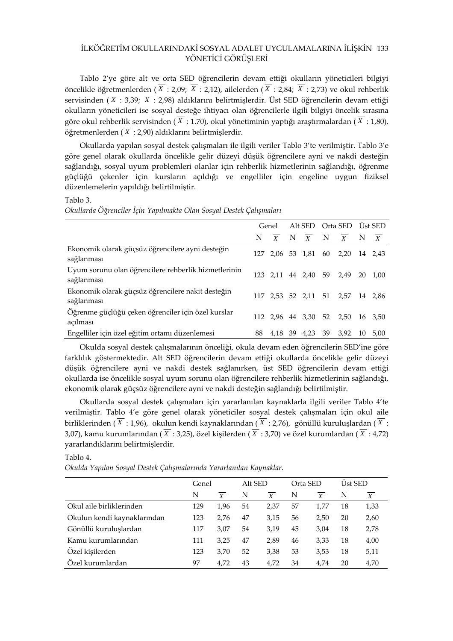### İLKÖĞRETİM OKULLARINDAKİ SOSYAL ADALET UYGULAMALARINA İLİŞKİN 133 YÖNETİCİ GÖRÜŞLERİ

Tablo 2'ye göre alt ve orta SED öğrencilerin devam ettiği okulların yöneticileri bilgiyi öncelikle öğretmenlerden ( *<sup>X</sup>* : 2,09; *<sup>X</sup>* : 2,12), ailelerden ( *<sup>X</sup>* : 2,84; *<sup>X</sup>* : 2,73) ve okul rehberlik servisinden ( *<sup>X</sup>* : 3,39; *<sup>X</sup>* : 2,98) aldıklarını belirtmişlerdir. Üst SED öğrencilerin devam ettiği okulların yöneticileri ise sosyal desteğe ihtiyacı olan öğrencilerle ilgili bilgiyi öncelik sırasına göre okul rehberlik servisinden ( *<sup>X</sup>* : 1.70), okul yönetiminin yaptığı araştırmalardan ( *<sup>X</sup>* : 1,80), öğretmenlerden ( *<sup>X</sup>* : 2,90) aldıklarını belirtmişlerdir.

Okullarda yapılan sosyal destek çalışmaları ile ilgili veriler Tablo 3'te verilmiştir. Tablo 3'e göre genel olarak okullarda öncelikle gelir düzeyi düşük öğrencilere ayni ve nakdi desteğin sağlandığı, sosyal uyum problemleri olanlar için rehberlik hizmetlerinin sağlandığı, öğrenme güçlüğü çekenler için kursların açıldığı ve engelliler için engeline uygun fiziksel düzenlemelerin yapıldığı belirtilmiştir.

#### Tablo 3.

Okullarda Öğrenciler İçin Yapılmakta Olan Sosyal Destek Çalışmaları

|                                                                    | Genel |  |  |              | Alt SED Orta SED Ust SED |                                                    |                  |
|--------------------------------------------------------------------|-------|--|--|--------------|--------------------------|----------------------------------------------------|------------------|
|                                                                    | N     |  |  |              |                          | $\overline{X}$ N $\overline{X}$ N $\overline{X}$ N | $\boldsymbol{X}$ |
| Ekonomik olarak güçsüz öğrencilere ayni desteğin<br>sağlanması     |       |  |  |              |                          | 127 2.06 53 1.81 60 2.20                           | 14 2.43          |
| Uyum sorunu olan öğrencilere rehberlik hizmetlerinin<br>sağlanması |       |  |  |              |                          | 123 2,11 44 2,40 59 2,49                           | 20 1.00          |
| Ekonomik olarak güçsüz öğrencilere nakit desteğin<br>sağlanması    |       |  |  |              |                          | 117 2,53 52 2,11 51 2,57 14 2,86                   |                  |
| Öğrenme güçlüğü çeken öğrenciler için özel kurslar<br>açılması     |       |  |  |              |                          | 112 2,96 44 3,30 52 2,50                           | 16 3,50          |
| Engelliler için özel eğitim ortamı düzenlemesi                     | 88    |  |  | 4,18 39 4,23 | 39                       | 3.92                                               | 10 5.00          |

Okulda sosyal destek çalışmalarının önceliği, okula devam eden öğrencilerin SED'ine göre farklılık göstermektedir. Alt SED öğrencilerin devam ettiği okullarda öncelikle gelir düzeyi düşük öğrencilere ayni ve nakdi destek sağlanırken, üst SED öğrencilerin devam ettiği okullarda ise öncelikle sosyal uyum sorunu olan öğrencilere rehberlik hizmetlerinin sağlandığı, ekonomik olarak güçsüz öğrencilere ayni ve nakdi desteğin sağlandığı belirtilmiştir.

Okullarda sosyal destek çalışmaları için yararlanılan kaynaklarla ilgili veriler Tablo 4'te verilmiştir. Tablo 4'e göre genel olarak yöneticiler sosyal destek çalışmaları için okul aile birliklerinden ( *<sup>X</sup>* : 1,96), okulun kendi kaynaklarından ( *<sup>X</sup>* : 2,76), gönüllü kuruluşlardan ( *<sup>X</sup>* : 3,07), kamu kurumlarından ( *<sup>X</sup>* : 3,25), özel kişilerden ( *<sup>X</sup>* : 3,70) ve özel kurumlardan ( *<sup>X</sup>* : 4,72) yararlandıklarını belirtmişlerdir.

#### Tablo 4.

Okulda Yapılan Sosyal Destek Çalışmalarında Yararlanılan Kaynaklar.

|                             | Genel |                  | Alt SED |                  | Orta SED              |      | <b>Üst SED</b> |      |
|-----------------------------|-------|------------------|---------|------------------|-----------------------|------|----------------|------|
|                             | N     | $\boldsymbol{X}$ | N       | $\boldsymbol{X}$ | N<br>$\boldsymbol{X}$ |      | N              | X    |
| Okul aile birliklerinden    | 129   | 1.96             | 54      | 2.37             | 57                    | 1.77 | 18             | 1,33 |
| Okulun kendi kaynaklarından | 123   | 2.76             | 47      | 3.15             | 56                    | 2.50 | 20             | 2,60 |
| Gönüllü kuruluşlardan       | 117   | 3.07             | 54      | 3.19             | 45                    | 3.04 | 18             | 2,78 |
| Kamu kurumlarından          | 111   | 3.25             | 47      | 2.89             | 46                    | 3.33 | 18             | 4,00 |
| Özel kişilerden             | 123   | 3.70             | 52      | 3.38             | 53                    | 3,53 | 18             | 5,11 |
| Özel kurumlardan            | 97    | 4.72             | 43      | 4.72             | 34                    | 4.74 | 20             | 4,70 |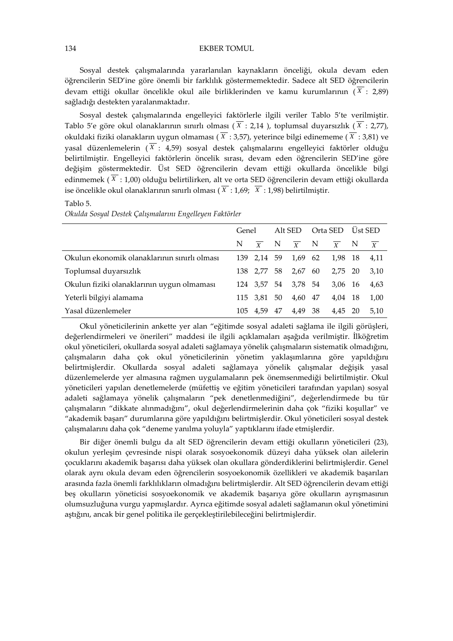Sosyal destek çalışmalarında yararlanılan kaynakların önceliği, okula devam eden öğrencilerin SED'ine göre önemli bir farklılık göstermemektedir. Sadece alt SED öğrencilerin devam ettiği okullar öncelikle okul aile birliklerinden ve kamu kurumlarının ( *<sup>X</sup>* : 2,89) sağladığı destekten yaralanmaktadır.

Sosyal destek çalışmalarında engelleyici faktörlerle ilgili veriler Tablo 5'te verilmiştir. Tablo 5'e göre okul olanaklarının sınırlı olması ( $\overline{X}$ : 2,14 ), toplumsal duyarsızlık ( $\overline{X}$ : 2,77), okuldaki fiziki olanakların uygun olmaması ( *<sup>X</sup>* : 3,57), yeterince bilgi edinememe ( *<sup>X</sup>* : 3,81) ve yasal düzenlemelerin  $(\overline{X} : 4,59)$  sosyal destek çalışmalarını engelleyici faktörler olduğu belirtilmiştir. Engelleyici faktörlerin öncelik sırası, devam eden öğrencilerin SED'ine göre değişim göstermektedir. Üst SED öğrencilerin devam ettiği okullarda öncelikle bilgi edinmemek ( *<sup>X</sup>* : 1,00) olduğu belirtilirken, alt ve orta SED öğrencilerin devam ettiği okullarda ise öncelikle okul olanaklarının sınırlı olması ( *<sup>X</sup>* : 1,69; *<sup>X</sup>* : 1,98) belirtilmiştir.

Tablo 5.

Okulda Sosyal Destek Çalışmalarını Engelleyen Faktörler

|                                              | Genel |             |      |                                                                     | Alt SED Orta SED Ust SED |              |  |      |
|----------------------------------------------|-------|-------------|------|---------------------------------------------------------------------|--------------------------|--------------|--|------|
|                                              |       |             |      | N $\overline{X}$ N $\overline{X}$ N $\overline{X}$ N $\overline{X}$ |                          |              |  |      |
| Okulun ekonomik olanaklarının sınırlı olması |       | 139 2.14 59 |      | 1,69 62                                                             |                          | 1,98 18 4,11 |  |      |
| Toplumsal duyarsızlık                        |       | 138 2.77    |      | 58 2,67 60                                                          |                          | 2.75 20      |  | 3.10 |
| Okulun fiziki olanaklarının uygun olmaması   |       |             |      | 124 3,57 54 3,78 54                                                 |                          | 3,06 16      |  | 4.63 |
| Yeterli bilgiyi alamama                      |       | 115 3.81 50 |      | 4,60 47                                                             |                          | 4,04 18      |  | 1,00 |
| Yasal düzenlemeler                           | 105   | 4.59        | - 47 | 4.49 38                                                             |                          | 4,45 20      |  | 5.10 |

Okul yöneticilerinin ankette yer alan "eğitimde sosyal adaleti sağlama ile ilgili görüşleri, değerlendirmeleri ve önerileri" maddesi ile ilgili açıklamaları aşağıda verilmiştir. İlköğretim okul yöneticileri, okullarda sosyal adaleti sağlamaya yönelik çalışmaların sistematik olmadığını, çalışmaların daha çok okul yöneticilerinin yönetim yaklaşımlarına göre yapıldığını belirtmişlerdir. Okullarda sosyal adaleti sağlamaya yönelik çalışmalar değişik yasal düzenlemelerde yer almasına rağmen uygulamaların pek önemsenmediği belirtilmiştir. Okul yöneticileri yapılan denetlemelerde (müfettiş ve eğitim yöneticileri tarafından yapılan) sosyal adaleti sağlamaya yönelik çalışmaların "pek denetlenmediğini", değerlendirmede bu tür çalışmaların "dikkate alınmadığını", okul değerlendirmelerinin daha çok "fiziki koşullar" ve "akademik başarı" durumlarına göre yapıldığını belirtmişlerdir. Okul yöneticileri sosyal destek çalışmalarını daha çok "deneme yanılma yoluyla" yaptıklarını ifade etmişlerdir.

Bir diğer önemli bulgu da alt SED öğrencilerin devam ettiği okulların yöneticileri (23), okulun yerleşim çevresinde nispi olarak sosyoekonomik düzeyi daha yüksek olan ailelerin çocuklarını akademik başarısı daha yüksek olan okullara gönderdiklerini belirtmişlerdir. Genel olarak aynı okula devam eden öğrencilerin sosyoekonomik özellikleri ve akademik başarıları arasında fazla önemli farklılıkların olmadığını belirtmişlerdir. Alt SED öğrencilerin devam ettiği beş okulların yöneticisi sosyoekonomik ve akademik başarıya göre okulların ayrışmasının olumsuzluğuna vurgu yapmışlardır. Ayrıca eğitimde sosyal adaleti sağlamanın okul yönetimini aştığını, ancak bir genel politika ile gerçekleştirilebileceğini belirtmişlerdir.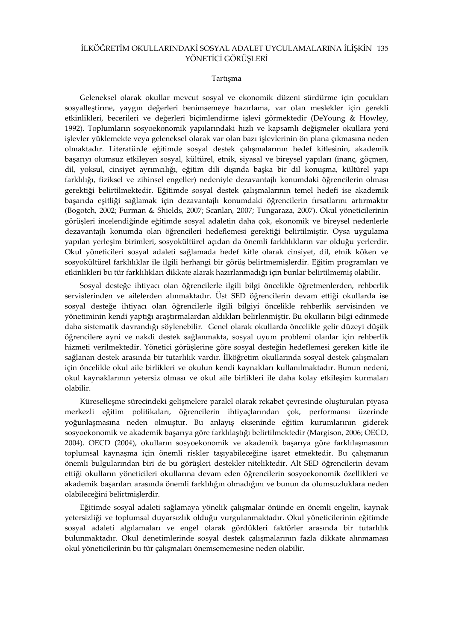### İLKÖĞRETİM OKULLARINDAKİ SOSYAL ADALET UYGULAMALARINA İLİŞKİN 135 YÖNETİCİ GÖRÜŞLERİ

### Tartışma

Geleneksel olarak okullar mevcut sosyal ve ekonomik düzeni sürdürme için çocukları sosyalleştirme, yaygın değerleri benimsemeye hazırlama, var olan meslekler için gerekli etkinlikleri, becerileri ve değerleri biçimlendirme işlevi görmektedir (DeYoung & Howley, 1992). Toplumların sosyoekonomik yapılarındaki hızlı ve kapsamlı değişmeler okullara yeni işlevler yüklemekte veya geleneksel olarak var olan bazı işlevlerinin ön plana çıkmasına neden olmaktadır. Literatürde eğitimde sosyal destek çalışmalarının hedef kitlesinin, akademik başarıyı olumsuz etkileyen sosyal, kültürel, etnik, siyasal ve bireysel yapıları (inanç, göçmen, dil, yoksul, cinsiyet ayrımcılığı, eğitim dili dışında başka bir dil konuşma, kültürel yapı farklılığı, fiziksel ve zihinsel engeller) nedeniyle dezavantajlı konumdaki öğrencilerin olması gerektiği belirtilmektedir. Eğitimde sosyal destek çalışmalarının temel hedefi ise akademik başarıda eşitliği sağlamak için dezavantajlı konumdaki öğrencilerin fırsatlarını artırmaktır (Bogotch, 2002; Furman & Shields, 2007; Scanlan, 2007; Tungaraza, 2007). Okul yöneticilerinin görüşleri incelendiğinde eğitimde sosyal adaletin daha çok, ekonomik ve bireysel nedenlerle dezavantajlı konumda olan öğrencileri hedeflemesi gerektiği belirtilmiştir. Oysa uygulama yapılan yerleşim birimleri, sosyokültürel açıdan da önemli farklılıkların var olduğu yerlerdir. Okul yöneticileri sosyal adaleti sağlamada hedef kitle olarak cinsiyet, dil, etnik köken ve sosyokültürel farklılıklar ile ilgili herhangi bir görüş belirtmemişlerdir. Eğitim programları ve etkinlikleri bu tür farklılıkları dikkate alarak hazırlanmadığı için bunlar belirtilmemiş olabilir.

Sosyal desteğe ihtiyacı olan öğrencilerle ilgili bilgi öncelikle öğretmenlerden, rehberlik servislerinden ve ailelerden alınmaktadır. Üst SED öğrencilerin devam ettiği okullarda ise sosyal desteğe ihtiyacı olan öğrencilerle ilgili bilgiyi öncelikle rehberlik servisinden ve yönetiminin kendi yaptığı araştırmalardan aldıkları belirlenmiştir. Bu okulların bilgi edinmede daha sistematik davrandığı söylenebilir. Genel olarak okullarda öncelikle gelir düzeyi düşük öğrencilere ayni ve nakdi destek sağlanmakta, sosyal uyum problemi olanlar için rehberlik hizmeti verilmektedir. Yönetici görüşlerine göre sosyal desteğin hedeflemesi gereken kitle ile sağlanan destek arasında bir tutarlılık vardır. İlköğretim okullarında sosyal destek çalışmaları için öncelikle okul aile birlikleri ve okulun kendi kaynakları kullanılmaktadır. Bunun nedeni, okul kaynaklarının yetersiz olması ve okul aile birlikleri ile daha kolay etkileşim kurmaları olabilir.

Küreselleşme sürecindeki gelişmelere paralel olarak rekabet çevresinde oluşturulan piyasa merkezli eğitim politikaları, öğrencilerin ihtiyaçlarından çok, performansı üzerinde yoğunlaşmasına neden olmuştur. Bu anlayış ekseninde eğitim kurumlarının giderek sosyoekonomik ve akademik başarıya göre farklılaştığı belirtilmektedir (Margison, 2006; OECD, 2004). OECD (2004), okulların sosyoekonomik ve akademik başarıya göre farklılaşmasının toplumsal kaynaşma için önemli riskler taşıyabileceğine işaret etmektedir. Bu çalışmanın önemli bulgularından biri de bu görüşleri destekler niteliktedir. Alt SED öğrencilerin devam ettiği okulların yöneticileri okullarına devam eden öğrencilerin sosyoekonomik özellikleri ve akademik başarıları arasında önemli farklılığın olmadığını ve bunun da olumsuzluklara neden olabileceğini belirtmişlerdir.

Eğitimde sosyal adaleti sağlamaya yönelik çalışmalar önünde en önemli engelin, kaynak yetersizliği ve toplumsal duyarsızlık olduğu vurgulanmaktadır. Okul yöneticilerinin eğitimde sosyal adaleti algılamaları ve engel olarak gördükleri faktörler arasında bir tutarlılık bulunmaktadır. Okul denetimlerinde sosyal destek çalışmalarının fazla dikkate alınmaması okul yöneticilerinin bu tür çalışmaları önemsememesine neden olabilir.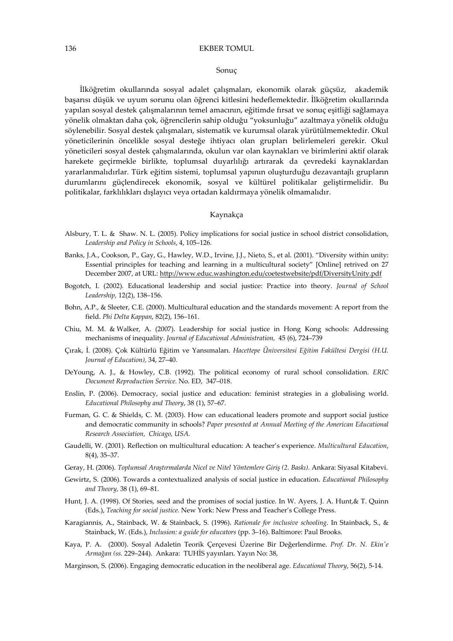#### Sonuç

İlköğretim okullarında sosyal adalet çalışmaları, ekonomik olarak güçsüz, akademik başarısı düşük ve uyum sorunu olan öğrenci kitlesini hedeflemektedir. İlköğretim okullarında yapılan sosyal destek çalışmalarının temel amacının, eğitimde fırsat ve sonuç eşitliği sağlamaya yönelik olmaktan daha çok, öğrencilerin sahip olduğu "yoksunluğu" azaltmaya yönelik olduğu söylenebilir. Sosyal destek çalışmaları, sistematik ve kurumsal olarak yürütülmemektedir. Okul yöneticilerinin öncelikle sosyal desteğe ihtiyacı olan grupları belirlemeleri gerekir. Okul yöneticileri sosyal destek çalışmalarında, okulun var olan kaynakları ve birimlerini aktif olarak harekete geçirmekle birlikte, toplumsal duyarlılığı artırarak da çevredeki kaynaklardan yararlanmalıdırlar. Türk eğitim sistemi, toplumsal yapının oluşturduğu dezavantajlı grupların durumlarını güçlendirecek ekonomik, sosyal ve kültürel politikalar geliştirmelidir. Bu politikalar, farklılıkları dışlayıcı veya ortadan kaldırmaya yönelik olmamalıdır.

### Kaynakça

- Alsbury, T. L. & Shaw. N. L. (2005). Policy implications for social justice in school district consolidation, Leadership and Policy in Schools, 4, 105–126.
- Banks, J.A., Cookson, P., Gay, G., Hawley, W.D., Irvine, J.J., Nieto, S., et al. (2001). "Diversity within unity: Essential principles for teaching and learning in a multicultural society" [Online] retrived on 27 December 2007, at URL: http://www.educ.washington.edu/coetestwebsite/pdf/DiversityUnity.pdf
- Bogotch, I. (2002). Educational leadership and social justice: Practice into theory. Journal of School Leadership, 12(2), 138–156.
- Bohn, A.P., & Sleeter, C.E. (2000). Multicultural education and the standards movement: A report from the field. Phi Delta Kappan, 82(2), 156–161.
- Chiu, M. M. & Walker, A. (2007). Leadership for social justice in Hong Kong schools: Addressing mechanisms of inequality. Journal of Educational Administration, 45 (6), 724–739
- Çırak, İ. (2008). Çok Kültürlü Eğitim ve Yansımaları. Hacettepe Üniversitesi Eğitim Fakültesi Dergisi (H.U. Journal of Education), 34, 27–40.
- DeYoung, A. J., & Howley, C.B. (1992). The political economy of rural school consolidation. ERIC Document Reproduction Service. No. ED, 347–018.
- Enslin, P. (2006). Democracy, social justice and education: feminist strategies in a globalising world. Educational Philosophy and Theory, 38 (1), 57–67.
- Furman, G. C. & Shields, C. M. (2003). How can educational leaders promote and support social justice and democratic community in schools? Paper presented at Annual Meeting of the American Educational Research Association, Chicago, USA.
- Gaudelli, W. (2001). Reflection on multicultural education: A teacher's experience. Multicultural Education, 8(4), 35–37.
- Geray, H. (2006). Toplumsal Araştırmalarda Nicel ve Nitel Yöntemlere Giriş (2. Baskı). Ankara: Siyasal Kitabevi.
- Gewirtz, S. (2006). Towards a contextualized analysis of social justice in education. Educational Philosophy and Theory, 38 (1), 69–81.
- Hunt, J. A. (1998). Of Stories, seed and the promises of social justice. In W. Ayers, J. A. Hunt,& T. Quinn (Eds.), Teaching for social justice. New York: New Press and Teacher's College Press.
- Karagiannis, A., Stainback, W. & Stainback, S. (1996). Rationale for inclusive schooling. In Stainback, S., & Stainback, W. (Eds.), Inclusion: a guide for educators (pp. 3–16). Baltimore: Paul Brooks.
- Kaya, P. A. (2000). Sosyal Adaletin Teorik Çerçevesi Üzerine Bir Değerlendirme. Prof. Dr. N. Ekin'e Armağan (ss. 229–244). Ankara: TUHİS yayınları. Yayın No: 38,
- Marginson, S. (2006). Engaging democratic education in the neoliberal age. Educational Theory, 56(2), 5-14.